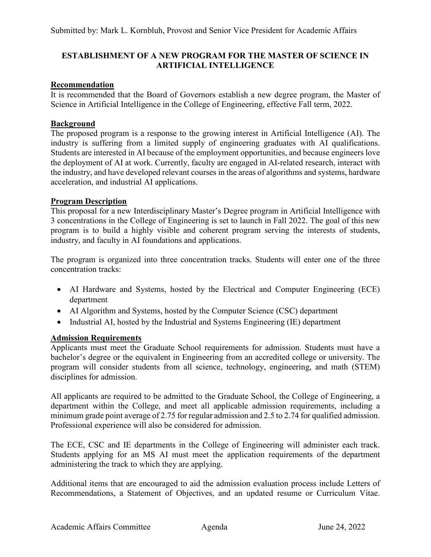## **ESTABLISHMENT OF A NEW PROGRAM FOR THE MASTER OF SCIENCE IN ARTIFICIAL INTELLIGENCE**

## **Recommendation**

It is recommended that the Board of Governors establish a new degree program, the Master of Science in Artificial Intelligence in the College of Engineering, effective Fall term, 2022.

#### **Background**

The proposed program is a response to the growing interest in Artificial Intelligence (AI). The industry is suffering from a limited supply of engineering graduates with AI qualifications. Students are interested in AI because of the employment opportunities, and because engineers love the deployment of AI at work. Currently, faculty are engaged in AI-related research, interact with the industry, and have developed relevant courses in the areas of algorithms and systems, hardware acceleration, and industrial AI applications.

#### **Program Description**

This proposal for a new Interdisciplinary Master's Degree program in Artificial Intelligence with 3 concentrations in the College of Engineering is set to launch in Fall 2022. The goal of this new program is to build a highly visible and coherent program serving the interests of students, industry, and faculty in AI foundations and applications.

The program is organized into three concentration tracks. Students will enter one of the three concentration tracks:

- AI Hardware and Systems, hosted by the Electrical and Computer Engineering (ECE) department
- AI Algorithm and Systems, hosted by the Computer Science (CSC) department
- Industrial AI, hosted by the Industrial and Systems Engineering (IE) department

## **Admission Requirements**

Applicants must meet the Graduate School requirements for admission. Students must have a bachelor's degree or the equivalent in Engineering from an accredited college or university. The program will consider students from all science, technology, engineering, and math (STEM) disciplines for admission.

All applicants are required to be admitted to the Graduate School, the College of Engineering, a department within the College, and meet all applicable admission requirements, including a minimum grade point average of 2.75 for regular admission and 2.5 to 2.74 for qualified admission. Professional experience will also be considered for admission.

The ECE, CSC and IE departments in the College of Engineering will administer each track. Students applying for an MS AI must meet the application requirements of the department administering the track to which they are applying.

Additional items that are encouraged to aid the admission evaluation process include Letters of Recommendations, a Statement of Objectives, and an updated resume or Curriculum Vitae.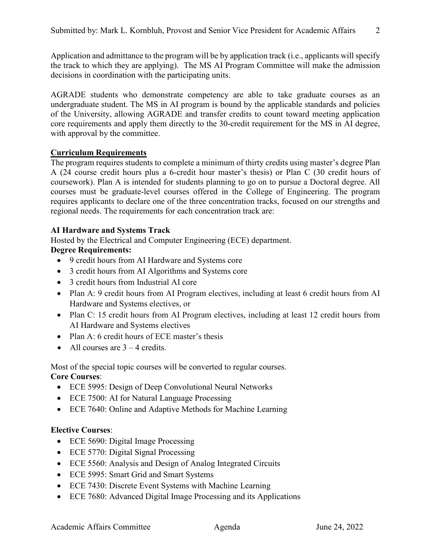Application and admittance to the program will be by application track (i.e., applicants will specify the track to which they are applying). The MS AI Program Committee will make the admission decisions in coordination with the participating units.

AGRADE students who demonstrate competency are able to take graduate courses as an undergraduate student. The MS in AI program is bound by the applicable standards and policies of the University, allowing AGRADE and transfer credits to count toward meeting application core requirements and apply them directly to the 30-credit requirement for the MS in AI degree, with approval by the committee.

# **Curriculum Requirements**

The program requires students to complete a minimum of thirty credits using master's degree Plan A (24 course credit hours plus a 6-credit hour master's thesis) or Plan C (30 credit hours of coursework). Plan A is intended for students planning to go on to pursue a Doctoral degree. All courses must be graduate-level courses offered in the College of Engineering. The program requires applicants to declare one of the three concentration tracks, focused on our strengths and regional needs. The requirements for each concentration track are:

# **AI Hardware and Systems Track**

Hosted by the Electrical and Computer Engineering (ECE) department.

# **Degree Requirements:**

- 9 credit hours from AI Hardware and Systems core
- 3 credit hours from AI Algorithms and Systems core
- 3 credit hours from Industrial AI core
- Plan A: 9 credit hours from AI Program electives, including at least 6 credit hours from AI Hardware and Systems electives, or
- Plan C: 15 credit hours from AI Program electives, including at least 12 credit hours from AI Hardware and Systems electives
- Plan A: 6 credit hours of ECE master's thesis
- All courses are  $3 4$  credits.

Most of the special topic courses will be converted to regular courses.

# **Core Courses**:

- ECE 5995: Design of Deep Convolutional Neural Networks
- ECE 7500: AI for Natural Language Processing
- ECE 7640: Online and Adaptive Methods for Machine Learning

# **Elective Courses**:

- ECE 5690: Digital Image Processing
- ECE 5770: Digital Signal Processing
- ECE 5560: Analysis and Design of Analog Integrated Circuits
- ECE 5995: Smart Grid and Smart Systems
- ECE 7430: Discrete Event Systems with Machine Learning
- ECE 7680: Advanced Digital Image Processing and its Applications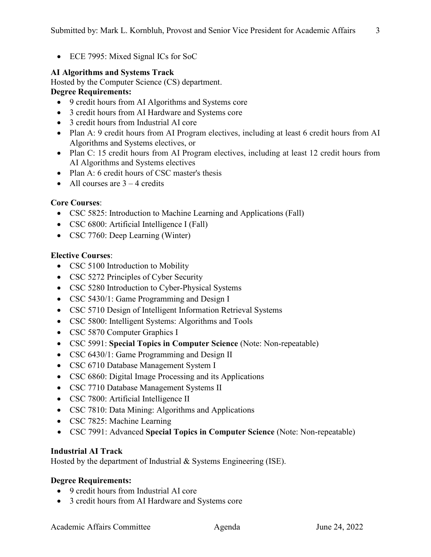• ECE 7995: Mixed Signal ICs for SoC

# **AI Algorithms and Systems Track**

Hosted by the Computer Science (CS) department.

## **Degree Requirements:**

- 9 credit hours from AI Algorithms and Systems core
- 3 credit hours from AI Hardware and Systems core
- 3 credit hours from Industrial AI core
- Plan A: 9 credit hours from AI Program electives, including at least 6 credit hours from AI Algorithms and Systems electives, or
- Plan C: 15 credit hours from AI Program electives, including at least 12 credit hours from AI Algorithms and Systems electives
- Plan A: 6 credit hours of CSC master's thesis
- All courses are  $3 4$  credits

## **Core Courses**:

- CSC 5825: Introduction to Machine Learning and Applications (Fall)
- CSC 6800: Artificial Intelligence I (Fall)
- CSC 7760: Deep Learning (Winter)

## **Elective Courses**:

- CSC 5100 Introduction to Mobility
- CSC 5272 Principles of Cyber Security
- CSC 5280 Introduction to Cyber-Physical Systems
- CSC 5430/1: Game Programming and Design I
- CSC 5710 Design of Intelligent Information Retrieval Systems
- CSC 5800: Intelligent Systems: Algorithms and Tools
- CSC 5870 Computer Graphics I
- CSC 5991: **Special Topics in Computer Science** (Note: Non-repeatable)
- CSC 6430/1: Game Programming and Design II
- CSC 6710 Database Management System I
- CSC 6860: Digital Image Processing and its Applications
- CSC 7710 Database Management Systems II
- CSC 7800: Artificial Intelligence II
- CSC 7810: Data Mining: Algorithms and Applications
- CSC 7825: Machine Learning
- CSC 7991: Advanced **Special Topics in Computer Science** (Note: Non-repeatable)

## **Industrial AI Track**

Hosted by the department of Industrial & Systems Engineering (ISE).

# **Degree Requirements:**

- 9 credit hours from Industrial AI core
- 3 credit hours from AI Hardware and Systems core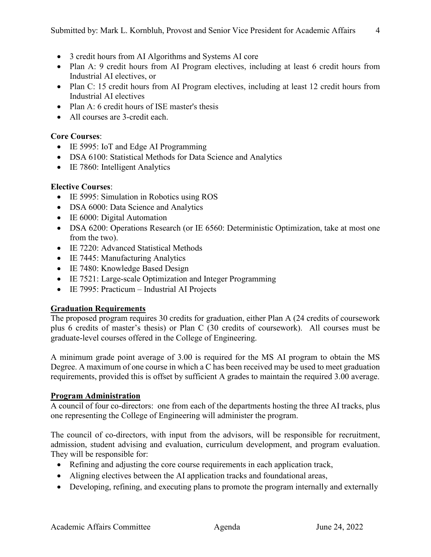- 3 credit hours from AI Algorithms and Systems AI core
- Plan A: 9 credit hours from AI Program electives, including at least 6 credit hours from Industrial AI electives, or
- Plan C: 15 credit hours from AI Program electives, including at least 12 credit hours from Industrial AI electives
- Plan A: 6 credit hours of ISE master's thesis
- All courses are 3-credit each.

#### **Core Courses**:

- IE 5995: IoT and Edge AI Programming
- DSA 6100: Statistical Methods for Data Science and Analytics
- IE 7860: Intelligent Analytics

#### **Elective Courses**:

- IE 5995: Simulation in Robotics using ROS
- DSA 6000: Data Science and Analytics
- IE 6000: Digital Automation
- DSA 6200: Operations Research (or IE 6560: Deterministic Optimization, take at most one from the two).
- IE 7220: Advanced Statistical Methods
- IE 7445: Manufacturing Analytics
- IE 7480: Knowledge Based Design
- IE 7521: Large-scale Optimization and Integer Programming
- IE 7995: Practicum Industrial AI Projects

## **Graduation Requirements**

The proposed program requires 30 credits for graduation, either Plan A (24 credits of coursework plus 6 credits of master's thesis) or Plan C (30 credits of coursework). All courses must be graduate-level courses offered in the College of Engineering.

A minimum grade point average of 3.00 is required for the MS AI program to obtain the MS Degree. A maximum of one course in which a C has been received may be used to meet graduation requirements, provided this is offset by sufficient A grades to maintain the required 3.00 average.

#### **Program Administration**

A council of four co-directors: one from each of the departments hosting the three AI tracks, plus one representing the College of Engineering will administer the program.

The council of co-directors, with input from the advisors, will be responsible for recruitment, admission, student advising and evaluation, curriculum development, and program evaluation. They will be responsible for:

- Refining and adjusting the core course requirements in each application track,
- Aligning electives between the AI application tracks and foundational areas,
- Developing, refining, and executing plans to promote the program internally and externally